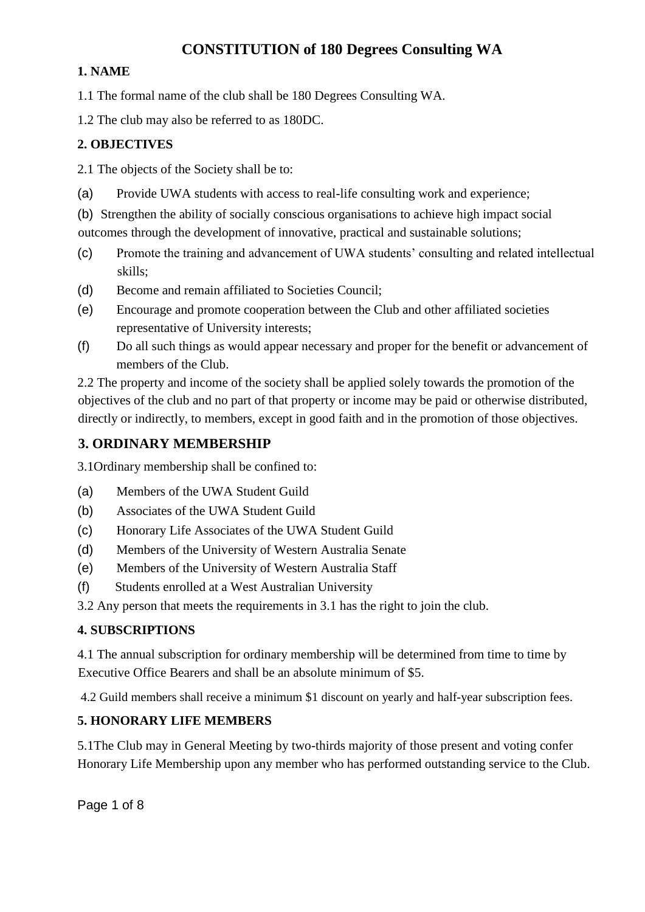# **CONSTITUTION of 180 Degrees Consulting WA**

### **1. NAME**

1.1 The formal name of the club shall be 180 Degrees Consulting WA.

1.2 The club may also be referred to as 180DC.

## **2. OBJECTIVES**

2.1 The objects of the Society shall be to:

(a) Provide UWA students with access to real-life consulting work and experience;

(b) Strengthen the ability of socially conscious organisations to achieve high impact social

outcomes through the development of innovative, practical and sustainable solutions;

- (c) Promote the training and advancement of UWA students' consulting and related intellectual skills;
- (d) Become and remain affiliated to Societies Council;
- (e) Encourage and promote cooperation between the Club and other affiliated societies representative of University interests;
- (f) Do all such things as would appear necessary and proper for the benefit or advancement of members of the Club.

2.2 The property and income of the society shall be applied solely towards the promotion of the objectives of the club and no part of that property or income may be paid or otherwise distributed, directly or indirectly, to members, except in good faith and in the promotion of those objectives.

# **3. ORDINARY MEMBERSHIP**

3.1Ordinary membership shall be confined to:

- (a) Members of the UWA Student Guild
- (b) Associates of the UWA Student Guild
- (c) Honorary Life Associates of the UWA Student Guild
- (d) Members of the University of Western Australia Senate
- (e) Members of the University of Western Australia Staff
- (f) Students enrolled at a West Australian University

3.2 Any person that meets the requirements in 3.1 has the right to join the club.

# **4. SUBSCRIPTIONS**

4.1 The annual subscription for ordinary membership will be determined from time to time by Executive Office Bearers and shall be an absolute minimum of \$5.

4.2 Guild members shall receive a minimum \$1 discount on yearly and half-year subscription fees.

# **5. HONORARY LIFE MEMBERS**

5.1The Club may in General Meeting by two-thirds majority of those present and voting confer Honorary Life Membership upon any member who has performed outstanding service to the Club.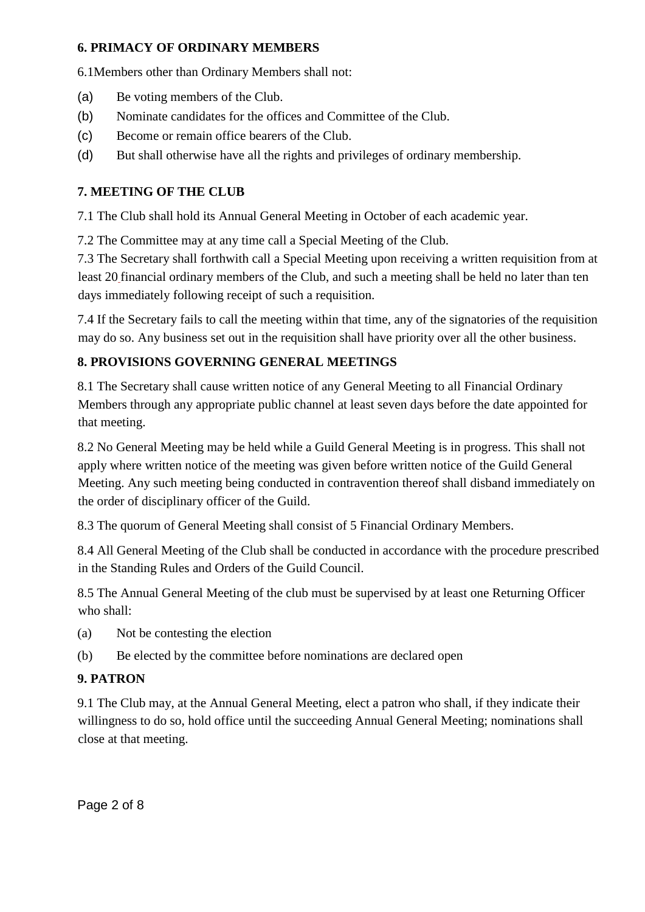#### **6. PRIMACY OF ORDINARY MEMBERS**

6.1Members other than Ordinary Members shall not:

- (a) Be voting members of the Club.
- (b) Nominate candidates for the offices and Committee of the Club.
- (c) Become or remain office bearers of the Club.
- (d) But shall otherwise have all the rights and privileges of ordinary membership.

#### **7. MEETING OF THE CLUB**

7.1 The Club shall hold its Annual General Meeting in October of each academic year.

7.2 The Committee may at any time call a Special Meeting of the Club.

7.3 The Secretary shall forthwith call a Special Meeting upon receiving a written requisition from at least 20 financial ordinary members of the Club, and such a meeting shall be held no later than ten days immediately following receipt of such a requisition.

7.4 If the Secretary fails to call the meeting within that time, any of the signatories of the requisition may do so. Any business set out in the requisition shall have priority over all the other business.

#### **8. PROVISIONS GOVERNING GENERAL MEETINGS**

8.1 The Secretary shall cause written notice of any General Meeting to all Financial Ordinary Members through any appropriate public channel at least seven days before the date appointed for that meeting.

8.2 No General Meeting may be held while a Guild General Meeting is in progress. This shall not apply where written notice of the meeting was given before written notice of the Guild General Meeting. Any such meeting being conducted in contravention thereof shall disband immediately on the order of disciplinary officer of the Guild.

8.3 The quorum of General Meeting shall consist of 5 Financial Ordinary Members.

8.4 All General Meeting of the Club shall be conducted in accordance with the procedure prescribed in the Standing Rules and Orders of the Guild Council.

8.5 The Annual General Meeting of the club must be supervised by at least one Returning Officer who shall:

(a) Not be contesting the election

(b) Be elected by the committee before nominations are declared open

#### **9. PATRON**

9.1 The Club may, at the Annual General Meeting, elect a patron who shall, if they indicate their willingness to do so, hold office until the succeeding Annual General Meeting; nominations shall close at that meeting.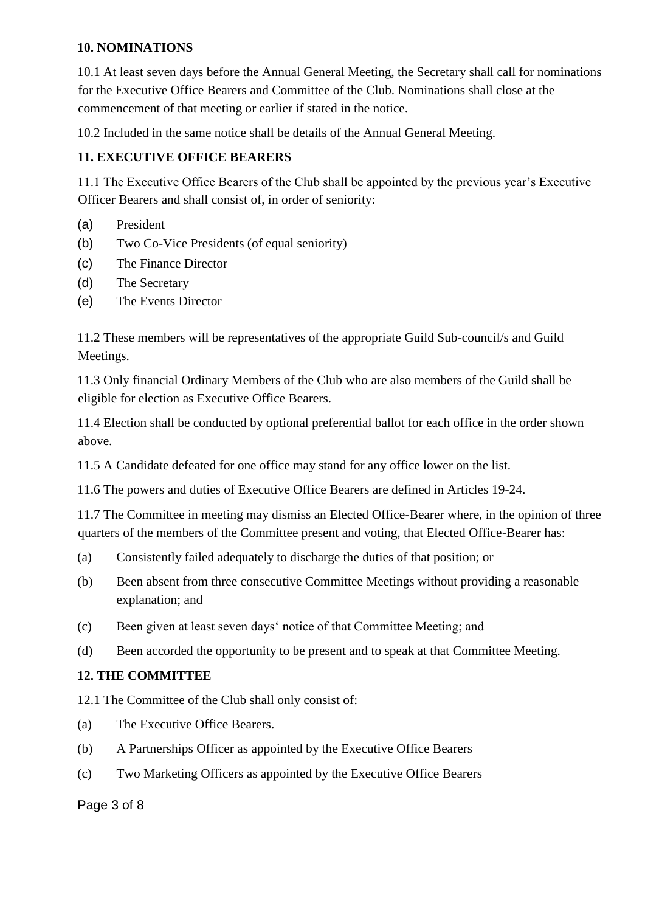#### **10. NOMINATIONS**

10.1 At least seven days before the Annual General Meeting, the Secretary shall call for nominations for the Executive Office Bearers and Committee of the Club. Nominations shall close at the commencement of that meeting or earlier if stated in the notice.

10.2 Included in the same notice shall be details of the Annual General Meeting.

### **11. EXECUTIVE OFFICE BEARERS**

11.1 The Executive Office Bearers of the Club shall be appointed by the previous year's Executive Officer Bearers and shall consist of, in order of seniority:

- (a) President
- (b) Two Co-Vice Presidents (of equal seniority)
- (c) The Finance Director
- (d) The Secretary
- (e) The Events Director

11.2 These members will be representatives of the appropriate Guild Sub-council/s and Guild Meetings.

11.3 Only financial Ordinary Members of the Club who are also members of the Guild shall be eligible for election as Executive Office Bearers.

11.4 Election shall be conducted by optional preferential ballot for each office in the order shown above.

11.5 A Candidate defeated for one office may stand for any office lower on the list.

11.6 The powers and duties of Executive Office Bearers are defined in Articles 19-24.

11.7 The Committee in meeting may dismiss an Elected Office-Bearer where, in the opinion of three quarters of the members of the Committee present and voting, that Elected Office-Bearer has:

- (a) Consistently failed adequately to discharge the duties of that position; or
- (b) Been absent from three consecutive Committee Meetings without providing a reasonable explanation; and
- (c) Been given at least seven days' notice of that Committee Meeting; and
- (d) Been accorded the opportunity to be present and to speak at that Committee Meeting.

#### **12. THE COMMITTEE**

12.1 The Committee of the Club shall only consist of:

- (a) The Executive Office Bearers.
- (b) A Partnerships Officer as appointed by the Executive Office Bearers
- (c) Two Marketing Officers as appointed by the Executive Office Bearers

Page 3 of 8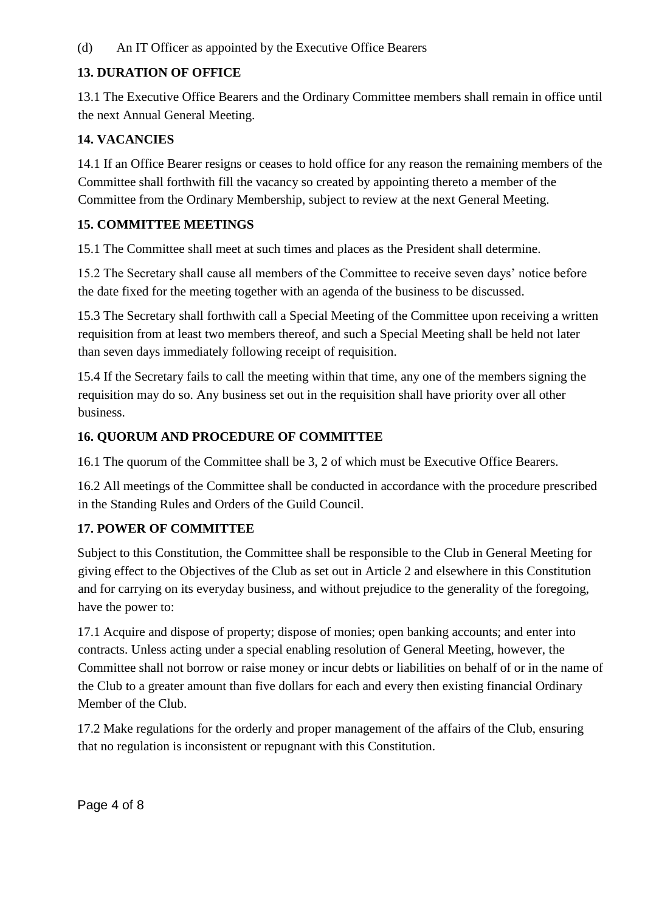(d) An IT Officer as appointed by the Executive Office Bearers

### **13. DURATION OF OFFICE**

13.1 The Executive Office Bearers and the Ordinary Committee members shall remain in office until the next Annual General Meeting.

## **14. VACANCIES**

14.1 If an Office Bearer resigns or ceases to hold office for any reason the remaining members of the Committee shall forthwith fill the vacancy so created by appointing thereto a member of the Committee from the Ordinary Membership, subject to review at the next General Meeting.

### **15. COMMITTEE MEETINGS**

15.1 The Committee shall meet at such times and places as the President shall determine.

15.2 The Secretary shall cause all members of the Committee to receive seven days' notice before the date fixed for the meeting together with an agenda of the business to be discussed.

15.3 The Secretary shall forthwith call a Special Meeting of the Committee upon receiving a written requisition from at least two members thereof, and such a Special Meeting shall be held not later than seven days immediately following receipt of requisition.

15.4 If the Secretary fails to call the meeting within that time, any one of the members signing the requisition may do so. Any business set out in the requisition shall have priority over all other business.

#### **16. QUORUM AND PROCEDURE OF COMMITTEE**

16.1 The quorum of the Committee shall be 3, 2 of which must be Executive Office Bearers.

16.2 All meetings of the Committee shall be conducted in accordance with the procedure prescribed in the Standing Rules and Orders of the Guild Council.

#### **17. POWER OF COMMITTEE**

Subject to this Constitution, the Committee shall be responsible to the Club in General Meeting for giving effect to the Objectives of the Club as set out in Article 2 and elsewhere in this Constitution and for carrying on its everyday business, and without prejudice to the generality of the foregoing, have the power to:

17.1 Acquire and dispose of property; dispose of monies; open banking accounts; and enter into contracts. Unless acting under a special enabling resolution of General Meeting, however, the Committee shall not borrow or raise money or incur debts or liabilities on behalf of or in the name of the Club to a greater amount than five dollars for each and every then existing financial Ordinary Member of the Club.

17.2 Make regulations for the orderly and proper management of the affairs of the Club, ensuring that no regulation is inconsistent or repugnant with this Constitution.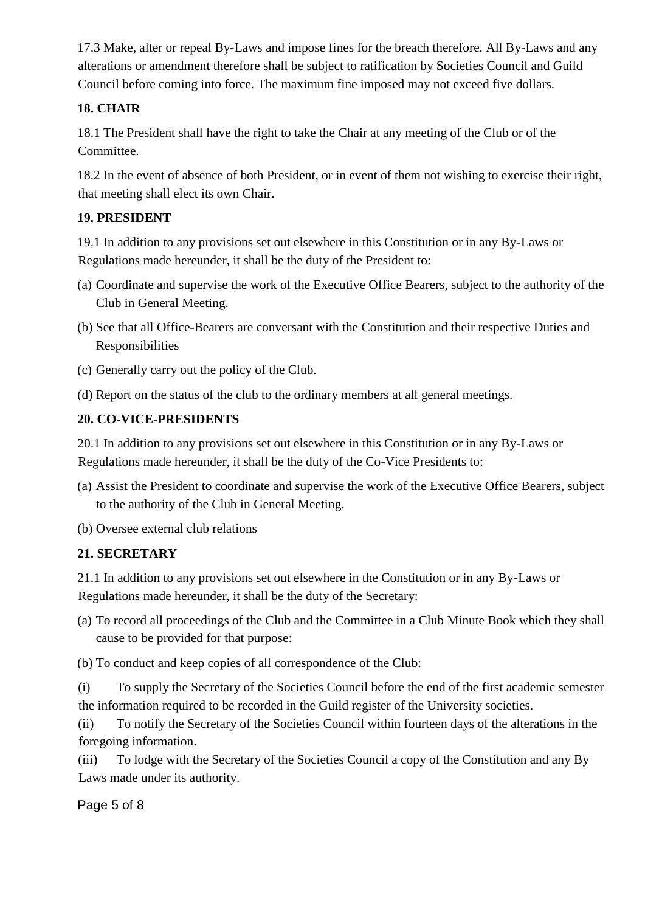17.3 Make, alter or repeal By-Laws and impose fines for the breach therefore. All By-Laws and any alterations or amendment therefore shall be subject to ratification by Societies Council and Guild Council before coming into force. The maximum fine imposed may not exceed five dollars.

# **18. CHAIR**

18.1 The President shall have the right to take the Chair at any meeting of the Club or of the Committee.

18.2 In the event of absence of both President, or in event of them not wishing to exercise their right, that meeting shall elect its own Chair.

# **19. PRESIDENT**

19.1 In addition to any provisions set out elsewhere in this Constitution or in any By-Laws or Regulations made hereunder, it shall be the duty of the President to:

- (a) Coordinate and supervise the work of the Executive Office Bearers, subject to the authority of the Club in General Meeting.
- (b) See that all Office-Bearers are conversant with the Constitution and their respective Duties and Responsibilities
- (c) Generally carry out the policy of the Club.
- (d) Report on the status of the club to the ordinary members at all general meetings.

# **20. CO-VICE-PRESIDENTS**

20.1 In addition to any provisions set out elsewhere in this Constitution or in any By-Laws or Regulations made hereunder, it shall be the duty of the Co-Vice Presidents to:

- (a) Assist the President to coordinate and supervise the work of the Executive Office Bearers, subject to the authority of the Club in General Meeting.
- (b) Oversee external club relations

# **21. SECRETARY**

21.1 In addition to any provisions set out elsewhere in the Constitution or in any By-Laws or Regulations made hereunder, it shall be the duty of the Secretary:

(a) To record all proceedings of the Club and the Committee in a Club Minute Book which they shall cause to be provided for that purpose:

(b) To conduct and keep copies of all correspondence of the Club:

(i) To supply the Secretary of the Societies Council before the end of the first academic semester the information required to be recorded in the Guild register of the University societies.

(ii) To notify the Secretary of the Societies Council within fourteen days of the alterations in the foregoing information.

(iii) To lodge with the Secretary of the Societies Council a copy of the Constitution and any By Laws made under its authority.

Page 5 of 8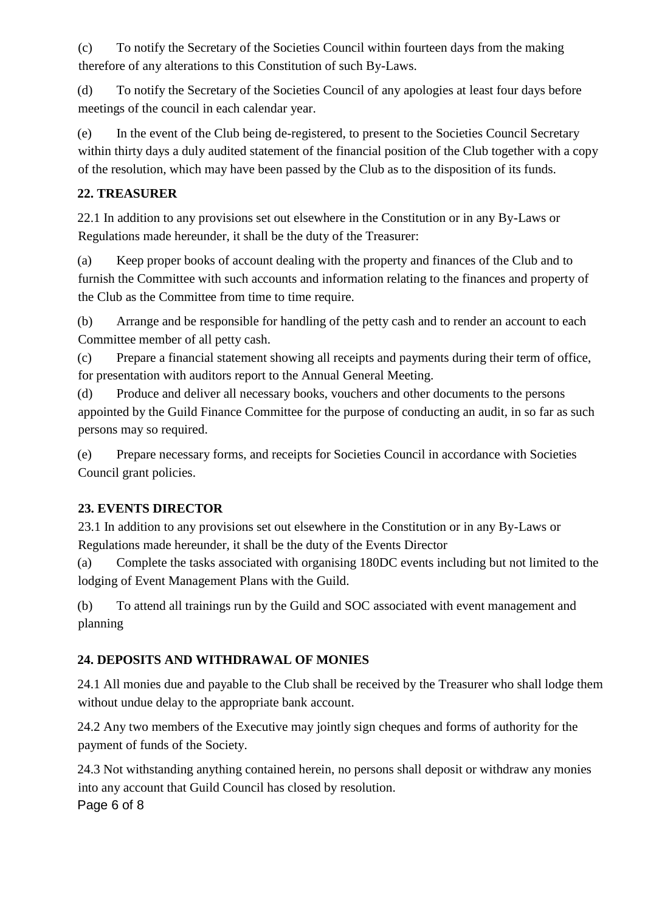(c) To notify the Secretary of the Societies Council within fourteen days from the making therefore of any alterations to this Constitution of such By-Laws.

(d) To notify the Secretary of the Societies Council of any apologies at least four days before meetings of the council in each calendar year.

(e) In the event of the Club being de-registered, to present to the Societies Council Secretary within thirty days a duly audited statement of the financial position of the Club together with a copy of the resolution, which may have been passed by the Club as to the disposition of its funds.

# **22. TREASURER**

22.1 In addition to any provisions set out elsewhere in the Constitution or in any By-Laws or Regulations made hereunder, it shall be the duty of the Treasurer:

(a) Keep proper books of account dealing with the property and finances of the Club and to furnish the Committee with such accounts and information relating to the finances and property of the Club as the Committee from time to time require.

(b) Arrange and be responsible for handling of the petty cash and to render an account to each Committee member of all petty cash.

(c) Prepare a financial statement showing all receipts and payments during their term of office, for presentation with auditors report to the Annual General Meeting.

(d) Produce and deliver all necessary books, vouchers and other documents to the persons appointed by the Guild Finance Committee for the purpose of conducting an audit, in so far as such persons may so required.

(e) Prepare necessary forms, and receipts for Societies Council in accordance with Societies Council grant policies.

# **23. EVENTS DIRECTOR**

23.1 In addition to any provisions set out elsewhere in the Constitution or in any By-Laws or Regulations made hereunder, it shall be the duty of the Events Director

(a) Complete the tasks associated with organising 180DC events including but not limited to the lodging of Event Management Plans with the Guild.

(b) To attend all trainings run by the Guild and SOC associated with event management and planning

# **24. DEPOSITS AND WITHDRAWAL OF MONIES**

24.1 All monies due and payable to the Club shall be received by the Treasurer who shall lodge them without undue delay to the appropriate bank account.

24.2 Any two members of the Executive may jointly sign cheques and forms of authority for the payment of funds of the Society.

Page 6 of 8 24.3 Not withstanding anything contained herein, no persons shall deposit or withdraw any monies into any account that Guild Council has closed by resolution.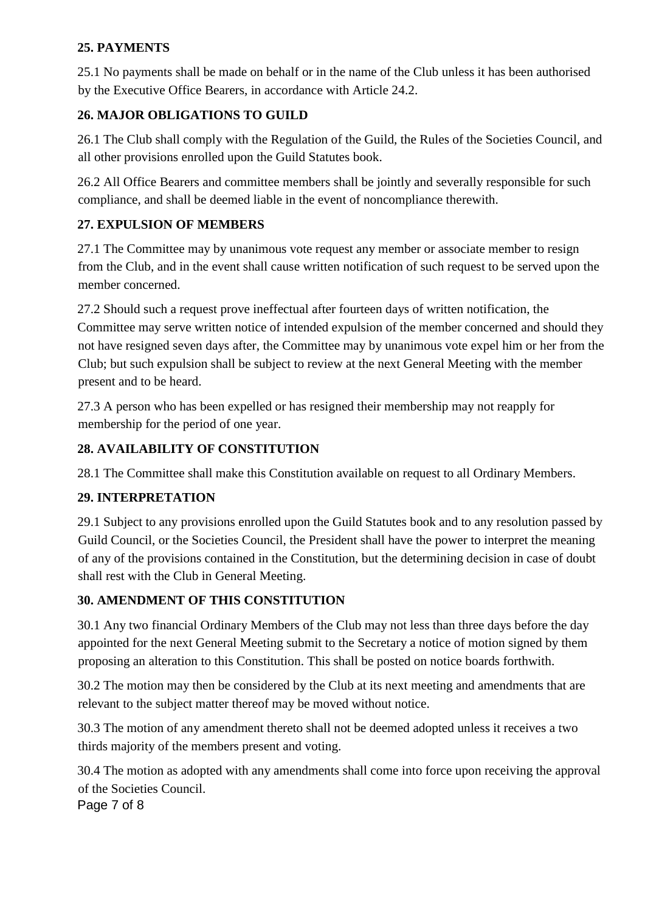### **25. PAYMENTS**

25.1 No payments shall be made on behalf or in the name of the Club unless it has been authorised by the Executive Office Bearers, in accordance with Article 24.2.

## **26. MAJOR OBLIGATIONS TO GUILD**

26.1 The Club shall comply with the Regulation of the Guild, the Rules of the Societies Council, and all other provisions enrolled upon the Guild Statutes book.

26.2 All Office Bearers and committee members shall be jointly and severally responsible for such compliance, and shall be deemed liable in the event of noncompliance therewith.

## **27. EXPULSION OF MEMBERS**

27.1 The Committee may by unanimous vote request any member or associate member to resign from the Club, and in the event shall cause written notification of such request to be served upon the member concerned.

27.2 Should such a request prove ineffectual after fourteen days of written notification, the Committee may serve written notice of intended expulsion of the member concerned and should they not have resigned seven days after, the Committee may by unanimous vote expel him or her from the Club; but such expulsion shall be subject to review at the next General Meeting with the member present and to be heard.

27.3 A person who has been expelled or has resigned their membership may not reapply for membership for the period of one year.

# **28. AVAILABILITY OF CONSTITUTION**

28.1 The Committee shall make this Constitution available on request to all Ordinary Members.

#### **29. INTERPRETATION**

29.1 Subject to any provisions enrolled upon the Guild Statutes book and to any resolution passed by Guild Council, or the Societies Council, the President shall have the power to interpret the meaning of any of the provisions contained in the Constitution, but the determining decision in case of doubt shall rest with the Club in General Meeting.

#### **30. AMENDMENT OF THIS CONSTITUTION**

30.1 Any two financial Ordinary Members of the Club may not less than three days before the day appointed for the next General Meeting submit to the Secretary a notice of motion signed by them proposing an alteration to this Constitution. This shall be posted on notice boards forthwith.

30.2 The motion may then be considered by the Club at its next meeting and amendments that are relevant to the subject matter thereof may be moved without notice.

30.3 The motion of any amendment thereto shall not be deemed adopted unless it receives a two thirds majority of the members present and voting.

30.4 The motion as adopted with any amendments shall come into force upon receiving the approval of the Societies Council.

Page 7 of 8